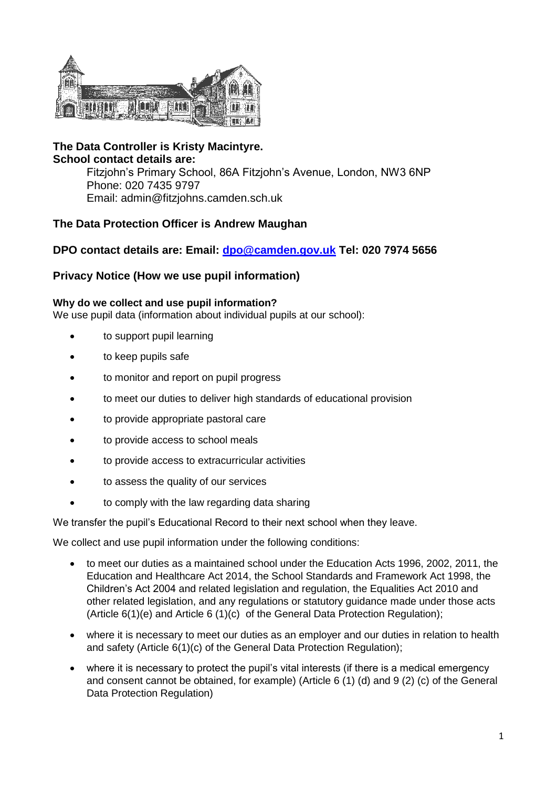

**The Data Controller is Kristy Macintyre. School contact details are:** Fitzjohn's Primary School, 86A Fitzjohn's Avenue, London, NW3 6NP Phone: 020 7435 9797 Email: admin@fitzjohns.camden.sch.uk

# **The Data Protection Officer is Andrew Maughan**

# **DPO contact details are: Email: [dpo@camden.gov.uk](mailto:dpo@camden.gov.uk) Tel: 020 7974 5656**

## **Privacy Notice (How we use pupil information)**

#### **Why do we collect and use pupil information?**

We use pupil data (information about individual pupils at our school):

- to support pupil learning
- to keep pupils safe
- to monitor and report on pupil progress
- to meet our duties to deliver high standards of educational provision
- to provide appropriate pastoral care
- to provide access to school meals
- to provide access to extracurricular activities
- to assess the quality of our services
- to comply with the law regarding data sharing

We transfer the pupil's Educational Record to their next school when they leave.

We collect and use pupil information under the following conditions:

- to meet our duties as a maintained school under the Education Acts 1996, 2002, 2011, the Education and Healthcare Act 2014, the School Standards and Framework Act 1998, the Children's Act 2004 and related legislation and regulation, the Equalities Act 2010 and other related legislation, and any regulations or statutory guidance made under those acts (Article 6(1)(e) and Article 6 (1)(c) of the General Data Protection Regulation);
- where it is necessary to meet our duties as an employer and our duties in relation to health and safety (Article 6(1)(c) of the General Data Protection Regulation);
- where it is necessary to protect the pupil's vital interests (if there is a medical emergency and consent cannot be obtained, for example) (Article 6 (1) (d) and 9 (2) (c) of the General Data Protection Regulation)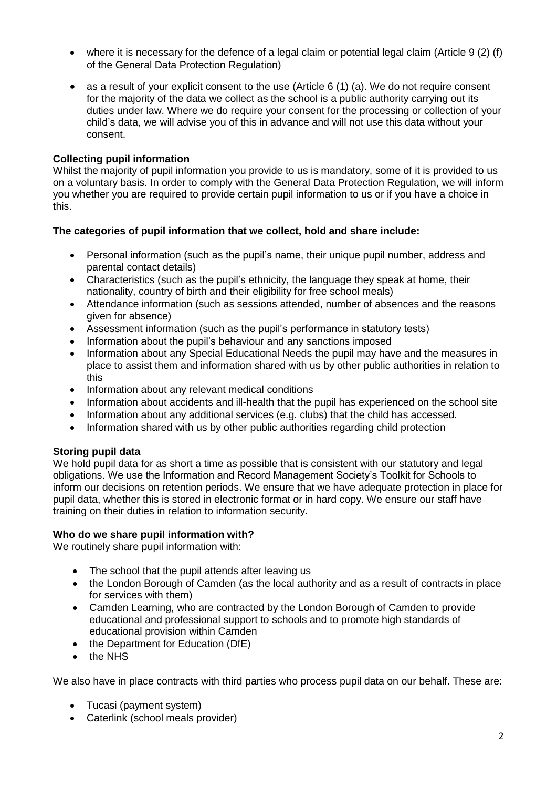- where it is necessary for the defence of a legal claim or potential legal claim (Article 9  $(2)$  (f) of the General Data Protection Regulation)
- as a result of your explicit consent to the use (Article 6 (1) (a). We do not require consent for the majority of the data we collect as the school is a public authority carrying out its duties under law. Where we do require your consent for the processing or collection of your child's data, we will advise you of this in advance and will not use this data without your consent.

## **Collecting pupil information**

Whilst the majority of pupil information you provide to us is mandatory, some of it is provided to us on a voluntary basis. In order to comply with the General Data Protection Regulation, we will inform you whether you are required to provide certain pupil information to us or if you have a choice in this.

### **The categories of pupil information that we collect, hold and share include:**

- Personal information (such as the pupil's name, their unique pupil number, address and parental contact details)
- Characteristics (such as the pupil's ethnicity, the language they speak at home, their nationality, country of birth and their eligibility for free school meals)
- Attendance information (such as sessions attended, number of absences and the reasons given for absence)
- Assessment information (such as the pupil's performance in statutory tests)
- Information about the pupil's behaviour and any sanctions imposed
- Information about any Special Educational Needs the pupil may have and the measures in place to assist them and information shared with us by other public authorities in relation to this
- Information about any relevant medical conditions
- Information about accidents and ill-health that the pupil has experienced on the school site
- Information about any additional services (e.g. clubs) that the child has accessed.
- Information shared with us by other public authorities regarding child protection

## **Storing pupil data**

We hold pupil data for as short a time as possible that is consistent with our statutory and legal obligations. We use the Information and Record Management Society's Toolkit for Schools to inform our decisions on retention periods. We ensure that we have adequate protection in place for pupil data, whether this is stored in electronic format or in hard copy. We ensure our staff have training on their duties in relation to information security.

### **Who do we share pupil information with?**

We routinely share pupil information with:

- The school that the pupil attends after leaving us
- the London Borough of Camden (as the local authority and as a result of contracts in place for services with them)
- Camden Learning, who are contracted by the London Borough of Camden to provide educational and professional support to schools and to promote high standards of educational provision within Camden
- the Department for Education (DfE)
- the NHS

We also have in place contracts with third parties who process pupil data on our behalf. These are:

- Tucasi (payment system)
- Caterlink (school meals provider)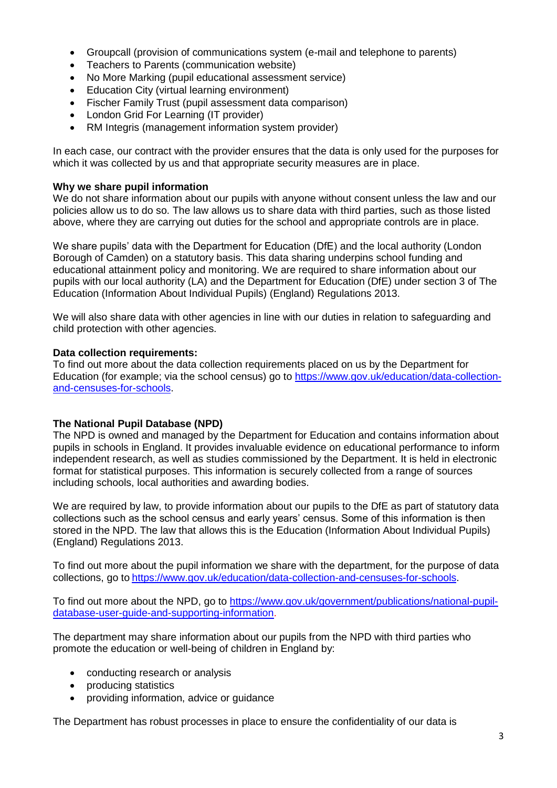- Groupcall (provision of communications system (e-mail and telephone to parents)
- Teachers to Parents (communication website)
- No More Marking (pupil educational assessment service)
- Education City (virtual learning environment)
- Fischer Family Trust (pupil assessment data comparison)
- London Grid For Learning (IT provider)
- RM Integris (management information system provider)

In each case, our contract with the provider ensures that the data is only used for the purposes for which it was collected by us and that appropriate security measures are in place.

#### **Why we share pupil information**

We do not share information about our pupils with anyone without consent unless the law and our policies allow us to do so. The law allows us to share data with third parties, such as those listed above, where they are carrying out duties for the school and appropriate controls are in place.

We share pupils' data with the Department for Education (DfE) and the local authority (London Borough of Camden) on a statutory basis. This data sharing underpins school funding and educational attainment policy and monitoring. We are required to share information about our pupils with our local authority (LA) and the Department for Education (DfE) under section 3 of The Education (Information About Individual Pupils) (England) Regulations 2013.

We will also share data with other agencies in line with our duties in relation to safeguarding and child protection with other agencies.

### **Data collection requirements:**

To find out more about the data collection requirements placed on us by the Department for Education (for example; via the school census) go to [https://www.gov.uk/education/data-collection](https://www.gov.uk/education/data-collection-and-censuses-for-schools)[and-censuses-for-schools.](https://www.gov.uk/education/data-collection-and-censuses-for-schools)

#### **The National Pupil Database (NPD)**

The NPD is owned and managed by the Department for Education and contains information about pupils in schools in England. It provides invaluable evidence on educational performance to inform independent research, as well as studies commissioned by the Department. It is held in electronic format for statistical purposes. This information is securely collected from a range of sources including schools, local authorities and awarding bodies.

We are required by law, to provide information about our pupils to the DfE as part of statutory data collections such as the school census and early years' census. Some of this information is then stored in the NPD. The law that allows this is the Education (Information About Individual Pupils) (England) Regulations 2013.

To find out more about the pupil information we share with the department, for the purpose of data collections, go to [https://www.gov.uk/education/data-collection-and-censuses-for-schools.](https://www.gov.uk/education/data-collection-and-censuses-for-schools)

To find out more about the NPD, go to [https://www.gov.uk/government/publications/national-pupil](https://www.gov.uk/government/publications/national-pupil-database-user-guide-and-supporting-information)[database-user-guide-and-supporting-information.](https://www.gov.uk/government/publications/national-pupil-database-user-guide-and-supporting-information)

The department may share information about our pupils from the NPD with third parties who promote the education or well-being of children in England by:

- conducting research or analysis
- producing statistics
- providing information, advice or guidance

The Department has robust processes in place to ensure the confidentiality of our data is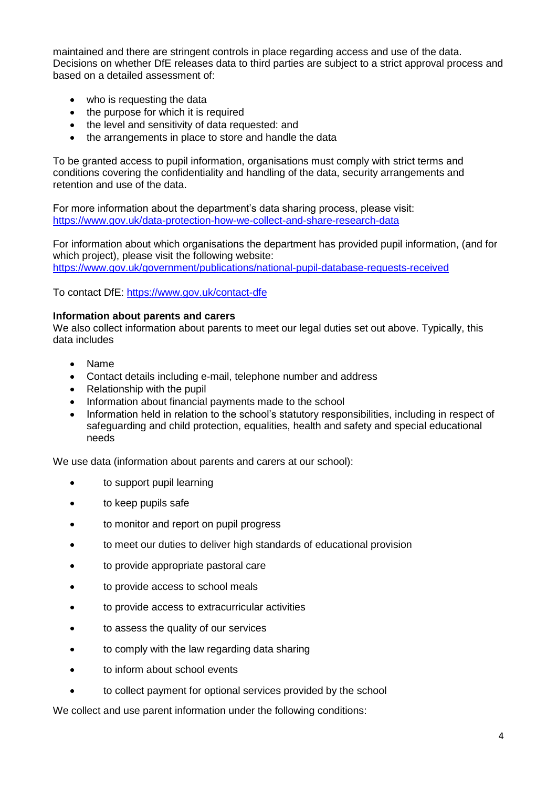maintained and there are stringent controls in place regarding access and use of the data. Decisions on whether DfE releases data to third parties are subject to a strict approval process and based on a detailed assessment of:

- who is requesting the data
- the purpose for which it is required
- the level and sensitivity of data requested: and
- the arrangements in place to store and handle the data

To be granted access to pupil information, organisations must comply with strict terms and conditions covering the confidentiality and handling of the data, security arrangements and retention and use of the data.

For more information about the department's data sharing process, please visit: <https://www.gov.uk/data-protection-how-we-collect-and-share-research-data>

For information about which organisations the department has provided pupil information, (and for which project), please visit the following website: <https://www.gov.uk/government/publications/national-pupil-database-requests-received>

To contact DfE:<https://www.gov.uk/contact-dfe>

#### **Information about parents and carers**

We also collect information about parents to meet our legal duties set out above. Typically, this data includes

- Name
- Contact details including e-mail, telephone number and address
- Relationship with the pupil
- Information about financial payments made to the school
- Information held in relation to the school's statutory responsibilities, including in respect of safeguarding and child protection, equalities, health and safety and special educational needs

We use data (information about parents and carers at our school):

- to support pupil learning
- to keep pupils safe
- to monitor and report on pupil progress
- to meet our duties to deliver high standards of educational provision
- to provide appropriate pastoral care
- to provide access to school meals
- to provide access to extracurricular activities
- to assess the quality of our services
- to comply with the law regarding data sharing
- to inform about school events
- to collect payment for optional services provided by the school

We collect and use parent information under the following conditions: